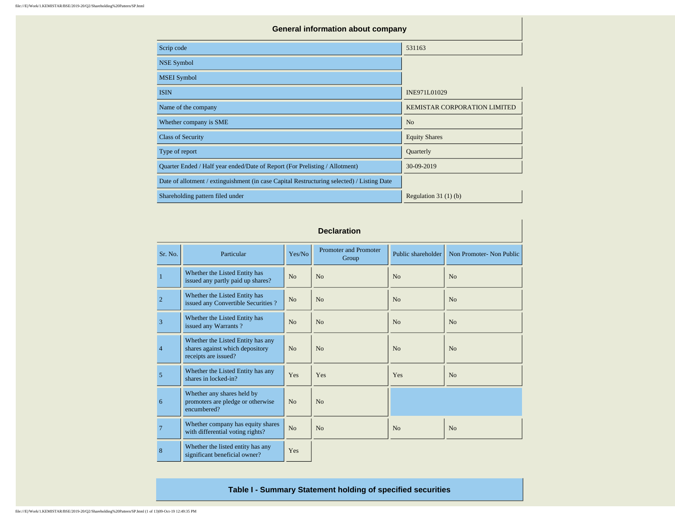| <b>General information about company</b>                                                   |                                     |
|--------------------------------------------------------------------------------------------|-------------------------------------|
| Scrip code                                                                                 | 531163                              |
| <b>NSE Symbol</b>                                                                          |                                     |
| <b>MSEI</b> Symbol                                                                         |                                     |
| <b>ISIN</b>                                                                                | INE971L01029                        |
| Name of the company                                                                        | <b>KEMISTAR CORPORATION LIMITED</b> |
| Whether company is SME                                                                     | N <sub>o</sub>                      |
| <b>Class of Security</b>                                                                   | <b>Equity Shares</b>                |
| Type of report                                                                             | Quarterly                           |
| Quarter Ended / Half year ended/Date of Report (For Prelisting / Allotment)                | 30-09-2019                          |
| Date of allotment / extinguishment (in case Capital Restructuring selected) / Listing Date |                                     |
| Shareholding pattern filed under                                                           | Regulation $31(1)(b)$               |

|                | <b>Declaration</b>                                                                           |                |                                       |                    |                          |  |  |  |  |  |  |  |  |
|----------------|----------------------------------------------------------------------------------------------|----------------|---------------------------------------|--------------------|--------------------------|--|--|--|--|--|--|--|--|
| Sr. No.        | Particular                                                                                   | Yes/No         | <b>Promoter and Promoter</b><br>Group | Public shareholder | Non Promoter- Non Public |  |  |  |  |  |  |  |  |
| $\mathbf{1}$   | Whether the Listed Entity has<br>issued any partly paid up shares?                           | No             | No                                    | No                 | N <sub>0</sub>           |  |  |  |  |  |  |  |  |
| $\overline{2}$ | Whether the Listed Entity has<br>issued any Convertible Securities?                          | N <sub>o</sub> | N <sub>o</sub>                        | N <sub>o</sub>     | N <sub>o</sub>           |  |  |  |  |  |  |  |  |
| 3              | Whether the Listed Entity has<br>issued any Warrants?                                        | No             | N <sub>o</sub>                        | N <sub>o</sub>     | N <sub>o</sub>           |  |  |  |  |  |  |  |  |
| $\overline{4}$ | Whether the Listed Entity has any<br>shares against which depository<br>receipts are issued? | No             | N <sub>0</sub>                        | N <sub>o</sub>     | N <sub>o</sub>           |  |  |  |  |  |  |  |  |
| 5              | Whether the Listed Entity has any<br>shares in locked-in?                                    | Yes            | Yes                                   | Yes                | N <sub>o</sub>           |  |  |  |  |  |  |  |  |
| 6              | Whether any shares held by<br>promoters are pledge or otherwise<br>encumbered?               | No             | No                                    |                    |                          |  |  |  |  |  |  |  |  |
| $\overline{7}$ | Whether company has equity shares<br>with differential voting rights?                        | N <sub>o</sub> | N <sub>o</sub>                        | N <sub>o</sub>     | N <sub>o</sub>           |  |  |  |  |  |  |  |  |
| 8              | Whether the listed entity has any<br>significant beneficial owner?                           | Yes            |                                       |                    |                          |  |  |  |  |  |  |  |  |

**Table I - Summary Statement holding of specified securities**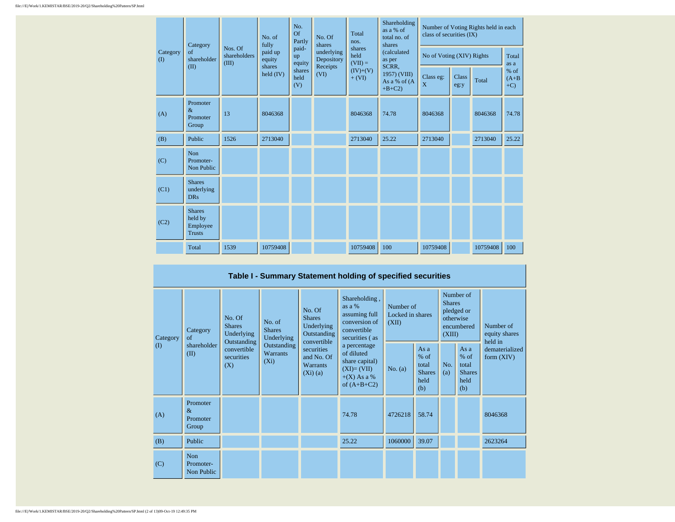|  |                 | Category                                              | No. of<br>fully<br>Nos. Of | No.<br>Of<br>Partly         | No. Of<br>shares      | Total<br>nos.                        | Shareholding<br>as a % of<br>total no. of<br>shares | Number of Voting Rights held in each<br>class of securities (IX) |               |                           |                           |               |
|--|-----------------|-------------------------------------------------------|----------------------------|-----------------------------|-----------------------|--------------------------------------|-----------------------------------------------------|------------------------------------------------------------------|---------------|---------------------------|---------------------------|---------------|
|  | Category<br>(1) | $\sigma$ f<br>shareholder<br>(II)                     | shareholders<br>(III)      | paid up<br>equity<br>shares | paid-<br>up<br>equity | underlying<br>Depository<br>Receipts | shares<br>held<br>$(VII) =$                         | (calculated<br>as per<br>SCRR,                                   |               | No of Voting (XIV) Rights |                           | Total<br>as a |
|  |                 |                                                       | held $(IV)$                | shares<br>held<br>(V)       | (VI)                  | $(IV)+(V)$<br>$+ (VI)$               | 1957) (VIII)<br>As a % of (A<br>$+B+C2$             | Class eg:<br>X                                                   | Class<br>eg:y | Total                     | % of<br>$(A+B)$<br>$+C$ ) |               |
|  | (A)             | Promoter<br>$\&$<br>Promoter<br>Group                 | 13                         | 8046368                     |                       |                                      | 8046368                                             | 74.78                                                            | 8046368       |                           | 8046368                   | 74.78         |
|  | (B)             | Public                                                | 1526                       | 2713040                     |                       |                                      | 2713040                                             | 25.22                                                            | 2713040       |                           | 2713040                   | 25.22         |
|  | (C)             | Non<br>Promoter-<br>Non Public                        |                            |                             |                       |                                      |                                                     |                                                                  |               |                           |                           |               |
|  | (C1)            | <b>Shares</b><br>underlying<br><b>DRs</b>             |                            |                             |                       |                                      |                                                     |                                                                  |               |                           |                           |               |
|  | (C2)            | <b>Shares</b><br>held by<br>Employee<br><b>Trusts</b> |                            |                             |                       |                                      |                                                     |                                                                  |               |                           |                           |               |
|  |                 | Total                                                 | 1539                       | 10759408                    |                       |                                      | 10759408                                            | 100                                                              | 10759408      |                           | 10759408                  | 100           |

## **Table I - Summary Statement holding of specified securities**

| Category<br>$\mathbf{I}$ | No. Of<br><b>Shares</b><br>Category<br>Underlying<br>$\sigma$<br>Outstanding |                                  | No. of<br><b>Shares</b><br>Underlying     | No. Of<br><b>Shares</b><br>Underlying<br>Outstanding<br>convertible | Shareholding,<br>as a %<br>assuming full<br>conversion of<br>convertible<br>securities (as     | Number of<br>Locked in shares<br>(XII) |                                                         | Number of<br><b>Shares</b><br>pledged or<br>otherwise<br>encumbered<br>(XIII) |                                                         | Number of<br>equity shares<br>held in |  |
|--------------------------|------------------------------------------------------------------------------|----------------------------------|-------------------------------------------|---------------------------------------------------------------------|------------------------------------------------------------------------------------------------|----------------------------------------|---------------------------------------------------------|-------------------------------------------------------------------------------|---------------------------------------------------------|---------------------------------------|--|
|                          | shareholder<br>(II)                                                          | convertible<br>securities<br>(X) | Outstanding<br><b>Warrants</b><br>$(X_i)$ | securities<br>and No. Of<br><b>Warrants</b><br>$(Xi)$ (a)           | a percentage<br>of diluted<br>share capital)<br>$(XI)=(VII)$<br>$+(X)$ As a %<br>of $(A+B+C2)$ | No. $(a)$                              | As a<br>$%$ of<br>total<br><b>Shares</b><br>held<br>(b) | No.<br>(a)                                                                    | As a<br>$%$ of<br>total<br><b>Shares</b><br>held<br>(b) | dematerialized<br>form $(XIV)$        |  |
| (A)                      | Promoter<br>$\&$<br>Promoter<br>Group                                        |                                  |                                           |                                                                     | 74.78                                                                                          | 4726218                                | 58.74                                                   |                                                                               |                                                         | 8046368                               |  |
| (B)                      | Public                                                                       |                                  |                                           |                                                                     | 25.22                                                                                          | 1060000                                | 39.07                                                   |                                                                               |                                                         | 2623264                               |  |
| (C)                      | Non<br>Promoter-<br>Non Public                                               |                                  |                                           |                                                                     |                                                                                                |                                        |                                                         |                                                                               |                                                         |                                       |  |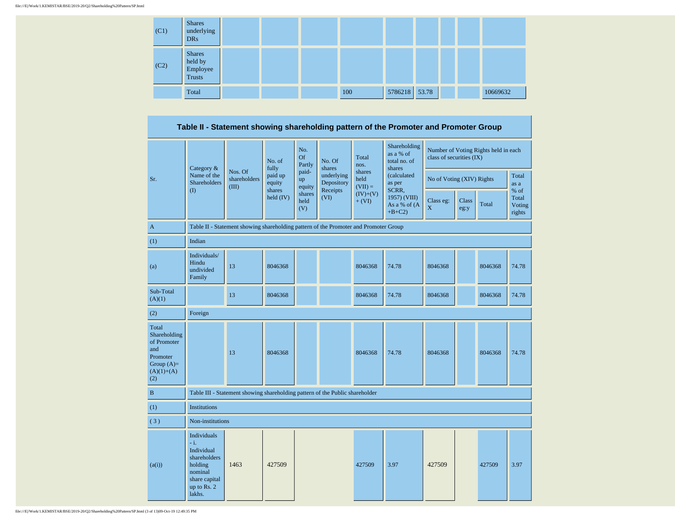| (C1) | <b>Shares</b><br>underlying<br><b>DRs</b>      |  |     |               |  |          |
|------|------------------------------------------------|--|-----|---------------|--|----------|
| (C2) | <b>Shares</b><br>held by<br>Employee<br>Trusts |  |     |               |  |          |
|      | Total                                          |  | 100 | 5786218 53.78 |  | 10669632 |

**Table II - Statement showing shareholding pattern of the Promoter and Promoter Group**

|                                                                                                | Category &                                                                                                          |                                                                                      | No. of<br>fully       | No.<br><b>Of</b><br>Partly                | No. Of<br>shares         | Total<br>nos.                                    | Shareholding<br>as a % of<br>total no. of<br>shares | class of securities (IX)  |       | Number of Voting Rights held in each |               |  |
|------------------------------------------------------------------------------------------------|---------------------------------------------------------------------------------------------------------------------|--------------------------------------------------------------------------------------|-----------------------|-------------------------------------------|--------------------------|--------------------------------------------------|-----------------------------------------------------|---------------------------|-------|--------------------------------------|---------------|--|
| Sr.                                                                                            | Name of the<br><b>Shareholders</b>                                                                                  | Nos. Of<br>shareholders<br>(III)                                                     | paid up<br>equity     | paid-<br>up<br>equity                     | underlying<br>Depository | shares<br>held<br>$(VII) =$                      | (calculated<br>as per                               | No of Voting (XIV) Rights |       |                                      | Total<br>as a |  |
|                                                                                                | $\rm(D)$                                                                                                            |                                                                                      | shares<br>held $(IV)$ | Receipts<br>shares<br>(VI)<br>held<br>(V) | $(IV)+(V)$<br>$+ (VI)$   | SCRR,<br>1957) (VIII)<br>As a % of (A<br>$+B+C2$ | Class eg:<br>X                                      | <b>Class</b><br>eg:y      | Total | % of<br>Total<br>Voting<br>rights    |               |  |
| $\mathbf{A}$                                                                                   |                                                                                                                     | Table II - Statement showing shareholding pattern of the Promoter and Promoter Group |                       |                                           |                          |                                                  |                                                     |                           |       |                                      |               |  |
| (1)                                                                                            | Indian                                                                                                              |                                                                                      |                       |                                           |                          |                                                  |                                                     |                           |       |                                      |               |  |
| (a)                                                                                            | Individuals/<br>Hindu<br>undivided<br>Family                                                                        | 13                                                                                   | 8046368               |                                           |                          | 8046368                                          | 74.78                                               | 8046368                   |       | 8046368                              | 74.78         |  |
| Sub-Total<br>(A)(1)                                                                            |                                                                                                                     | 13                                                                                   | 8046368               |                                           |                          | 8046368                                          | 74.78                                               | 8046368                   |       | 8046368                              | 74.78         |  |
| (2)                                                                                            | Foreign                                                                                                             |                                                                                      |                       |                                           |                          |                                                  |                                                     |                           |       |                                      |               |  |
| Total<br>Shareholding<br>of Promoter<br>and<br>Promoter<br>Group $(A)=$<br>$(A)(1)+(A)$<br>(2) |                                                                                                                     | 13                                                                                   | 8046368               |                                           |                          | 8046368                                          | 74.78                                               | 8046368                   |       | 8046368                              | 74.78         |  |
| $\, {\bf B}$                                                                                   |                                                                                                                     | Table III - Statement showing shareholding pattern of the Public shareholder         |                       |                                           |                          |                                                  |                                                     |                           |       |                                      |               |  |
| (1)                                                                                            | <b>Institutions</b>                                                                                                 |                                                                                      |                       |                                           |                          |                                                  |                                                     |                           |       |                                      |               |  |
| (3)                                                                                            | Non-institutions                                                                                                    |                                                                                      |                       |                                           |                          |                                                  |                                                     |                           |       |                                      |               |  |
| (a(i))                                                                                         | Individuals<br>$- i.$<br>Individual<br>shareholders<br>holding<br>nominal<br>share capital<br>up to Rs. 2<br>lakhs. | 1463                                                                                 | 427509                |                                           |                          | 427509                                           | 3.97                                                | 427509                    |       | 427509                               | 3.97          |  |

file:///E|/Work/1.KEMISTAR/BSE/2019-20/Q2/Shareholding%20Pattern/SP.html (3 of 13)09-Oct-19 12:49:35 PM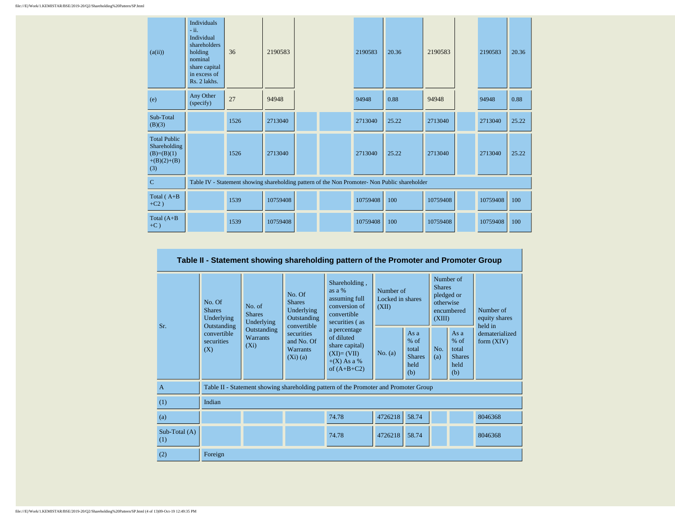| (a(ii))                                                                     | <b>Individuals</b><br>$-ii.$<br>Individual<br>shareholders<br>holding<br>nominal<br>share capital<br>in excess of<br>Rs. 2 lakhs. | 36   | 2190583  |  | 2190583  | 20.36                                                                                         | 2190583  | 2190583  | 20.36 |
|-----------------------------------------------------------------------------|-----------------------------------------------------------------------------------------------------------------------------------|------|----------|--|----------|-----------------------------------------------------------------------------------------------|----------|----------|-------|
| (e)                                                                         | Any Other<br>(specify)                                                                                                            | 27   | 94948    |  | 94948    | 0.88                                                                                          | 94948    | 94948    | 0.88  |
| Sub-Total<br>(B)(3)                                                         |                                                                                                                                   | 1526 | 2713040  |  | 2713040  | 25.22                                                                                         | 2713040  | 2713040  | 25.22 |
| <b>Total Public</b><br>Shareholding<br>$(B)=(B)(1)$<br>$+(B)(2)+(B)$<br>(3) |                                                                                                                                   | 1526 | 2713040  |  | 2713040  | 25.22                                                                                         | 2713040  | 2713040  | 25.22 |
| $\mathbf C$                                                                 |                                                                                                                                   |      |          |  |          | Table IV - Statement showing shareholding pattern of the Non Promoter- Non Public shareholder |          |          |       |
| Total $(A+B)$<br>$+C2)$                                                     |                                                                                                                                   | 1539 | 10759408 |  | 10759408 | 100                                                                                           | 10759408 | 10759408 | 100   |
| Total $(A+B)$<br>$+C$ )                                                     |                                                                                                                                   | 1539 | 10759408 |  | 10759408 | 100                                                                                           | 10759408 | 10759408 | 100   |

|                       |                                                                                                              |                            |                                                                                                                                                                     | Table II - Statement showing shareholding pattern of the Promoter and Promoter Group           |         |                                                           |            |                                                                               |                                       |
|-----------------------|--------------------------------------------------------------------------------------------------------------|----------------------------|---------------------------------------------------------------------------------------------------------------------------------------------------------------------|------------------------------------------------------------------------------------------------|---------|-----------------------------------------------------------|------------|-------------------------------------------------------------------------------|---------------------------------------|
| Sr.                   | No. Of<br>No. of<br><b>Shares</b><br><b>Shares</b><br>Underlying<br>Underlying<br>Outstanding<br>Outstanding |                            | Shareholding,<br>as $a\%$<br>No. Of<br>assuming full<br><b>Shares</b><br>conversion of<br>Underlying<br>convertible<br>Outstanding<br>securities (as<br>convertible |                                                                                                | (XII)   | Number of<br>Locked in shares                             |            | Number of<br><b>Shares</b><br>pledged or<br>otherwise<br>encumbered<br>(XIII) | Number of<br>equity shares<br>held in |
|                       | convertible<br>securities<br>(X)                                                                             | <b>Warrants</b><br>$(X_i)$ | securities<br>and No. Of<br><b>Warrants</b><br>(Xi)(a)                                                                                                              | a percentage<br>of diluted<br>share capital)<br>$(XI)=(VII)$<br>$+(X)$ As a %<br>of $(A+B+C2)$ | No. (a) | As $a$<br>$%$ of<br>total<br><b>Shares</b><br>held<br>(b) | No.<br>(a) | As $a$<br>$%$ of<br>total<br><b>Shares</b><br>held<br>(b)                     | dematerialized<br>form $(XIV)$        |
| $\overline{A}$        |                                                                                                              |                            |                                                                                                                                                                     | Table II - Statement showing shareholding pattern of the Promoter and Promoter Group           |         |                                                           |            |                                                                               |                                       |
| (1)                   | Indian                                                                                                       |                            |                                                                                                                                                                     |                                                                                                |         |                                                           |            |                                                                               |                                       |
| (a)                   |                                                                                                              |                            |                                                                                                                                                                     | 74.78                                                                                          | 4726218 | 58.74                                                     |            |                                                                               | 8046368                               |
| $Sub-Total(A)$<br>(1) | 74.78<br>4726218<br>58.74<br>8046368                                                                         |                            |                                                                                                                                                                     |                                                                                                |         |                                                           |            |                                                                               |                                       |
| (2)                   | Foreign                                                                                                      |                            |                                                                                                                                                                     |                                                                                                |         |                                                           |            |                                                                               |                                       |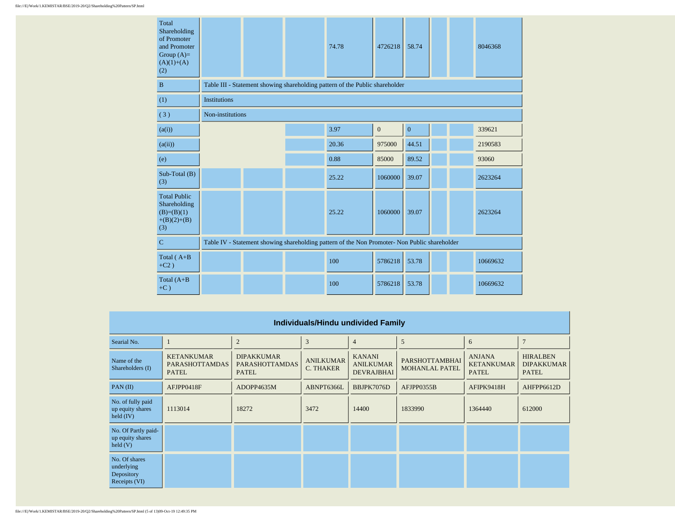| Total<br>Shareholding<br>of Promoter<br>and Promoter<br>Group $(A)=$<br>$(A)(1)+(A)$<br>(2) |                     |                                                                                               |  | 74.78                                                                        | 4726218      | 58.74        |  |  | 8046368  |  |  |  |
|---------------------------------------------------------------------------------------------|---------------------|-----------------------------------------------------------------------------------------------|--|------------------------------------------------------------------------------|--------------|--------------|--|--|----------|--|--|--|
| B                                                                                           |                     |                                                                                               |  | Table III - Statement showing shareholding pattern of the Public shareholder |              |              |  |  |          |  |  |  |
| (1)                                                                                         | <b>Institutions</b> |                                                                                               |  |                                                                              |              |              |  |  |          |  |  |  |
| (3)                                                                                         | Non-institutions    |                                                                                               |  |                                                                              |              |              |  |  |          |  |  |  |
| (a(i))                                                                                      |                     |                                                                                               |  | 3.97                                                                         | $\mathbf{0}$ | $\mathbf{0}$ |  |  | 339621   |  |  |  |
| (a(ii))                                                                                     |                     |                                                                                               |  | 20.36                                                                        | 975000       | 44.51        |  |  | 2190583  |  |  |  |
| (e)                                                                                         |                     |                                                                                               |  | 0.88                                                                         | 85000        | 89.52        |  |  | 93060    |  |  |  |
| Sub-Total (B)<br>(3)                                                                        |                     |                                                                                               |  | 25.22                                                                        | 1060000      | 39.07        |  |  | 2623264  |  |  |  |
| <b>Total Public</b><br>Shareholding<br>$(B)=(B)(1)$<br>$+(B)(2)+(B)$<br>(3)                 |                     |                                                                                               |  | 25.22                                                                        | 1060000      | 39.07        |  |  | 2623264  |  |  |  |
| $\mathbf C$                                                                                 |                     | Table IV - Statement showing shareholding pattern of the Non Promoter- Non Public shareholder |  |                                                                              |              |              |  |  |          |  |  |  |
| Total $(A+B)$<br>$+C2)$                                                                     |                     |                                                                                               |  | 100                                                                          | 5786218      | 53.78        |  |  | 10669632 |  |  |  |
| Total $(A+B)$<br>$+C$ )                                                                     |                     |                                                                                               |  | 100                                                                          | 5786218      | 53.78        |  |  | 10669632 |  |  |  |

|                                                             | Individuals/Hindu undivided Family                         |                                                            |                                      |                                                        |                                                |                                                    |                                                      |  |  |  |  |  |  |
|-------------------------------------------------------------|------------------------------------------------------------|------------------------------------------------------------|--------------------------------------|--------------------------------------------------------|------------------------------------------------|----------------------------------------------------|------------------------------------------------------|--|--|--|--|--|--|
| Searial No.                                                 |                                                            | $\overline{2}$                                             | 3                                    | $\overline{4}$                                         | 5                                              | 6                                                  | $\mathbf{r}$                                         |  |  |  |  |  |  |
| Name of the<br>Shareholders (I)                             | <b>KETANKUMAR</b><br><b>PARASHOTTAMDAS</b><br><b>PATEL</b> | <b>DIPAKKUMAR</b><br><b>PARASHOTTAMDAS</b><br><b>PATEL</b> | <b>ANILKUMAR</b><br><b>C. THAKER</b> | <b>KANANI</b><br><b>ANILKUMAR</b><br><b>DEVRAJBHAI</b> | <b>PARSHOTTAMBHAI</b><br><b>MOHANLAL PATEL</b> | <b>ANJANA</b><br><b>KETANKUMAR</b><br><b>PATEL</b> | <b>HIRALBEN</b><br><b>DIPAKKUMAR</b><br><b>PATEL</b> |  |  |  |  |  |  |
| $PAN$ (II)                                                  | AFJPP0418F                                                 | ADOPP4635M                                                 | ABNPT6366L                           | BBJPK7076D                                             | AFJPP0355B                                     | AFIPK9418H                                         | AHFPP6612D                                           |  |  |  |  |  |  |
| No. of fully paid<br>up equity shares<br>held $(IV)$        | 1113014                                                    | 18272                                                      | 3472                                 | 14400                                                  | 1833990                                        | 1364440                                            | 612000                                               |  |  |  |  |  |  |
| No. Of Partly paid-<br>up equity shares<br>$\text{held}(V)$ |                                                            |                                                            |                                      |                                                        |                                                |                                                    |                                                      |  |  |  |  |  |  |
| No. Of shares<br>underlying<br>Depository<br>Receipts (VI)  |                                                            |                                                            |                                      |                                                        |                                                |                                                    |                                                      |  |  |  |  |  |  |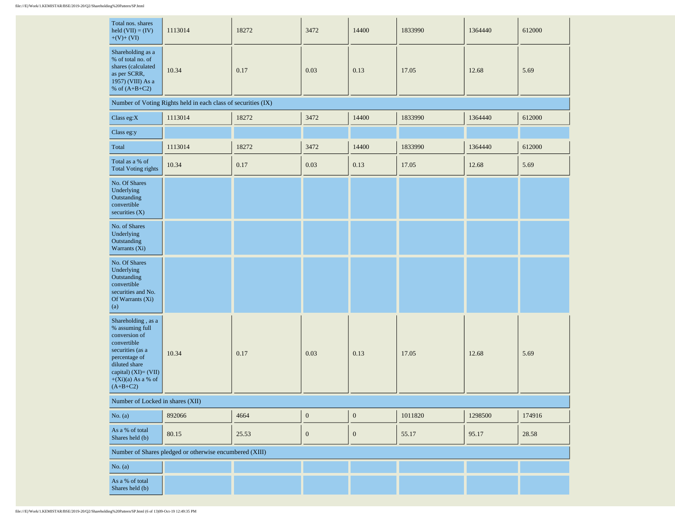| Total nos. shares<br>held $(VII) = (IV)$<br>$+(V)+(VI)$                                                                                                                                    | 1113014                                                       | 18272 | 3472             | 14400            | 1833990 | 1364440 | 612000 |
|--------------------------------------------------------------------------------------------------------------------------------------------------------------------------------------------|---------------------------------------------------------------|-------|------------------|------------------|---------|---------|--------|
| Shareholding as a<br>% of total no. of<br>shares (calculated<br>as per SCRR,<br>1957) (VIII) As a<br>% of $(A+B+C2)$                                                                       | 10.34                                                         | 0.17  | 0.03             | 0.13             | 17.05   | 12.68   | 5.69   |
|                                                                                                                                                                                            | Number of Voting Rights held in each class of securities (IX) |       |                  |                  |         |         |        |
| Class eg: $X$                                                                                                                                                                              | 1113014                                                       | 18272 | 3472             | 14400            | 1833990 | 1364440 | 612000 |
| Class eg:y                                                                                                                                                                                 |                                                               |       |                  |                  |         |         |        |
| Total                                                                                                                                                                                      | 1113014                                                       | 18272 | 3472             | 14400            | 1833990 | 1364440 | 612000 |
| Total as a % of<br><b>Total Voting rights</b>                                                                                                                                              | 10.34                                                         | 0.17  | 0.03             | 0.13             | 17.05   | 12.68   | 5.69   |
| No. Of Shares<br>Underlying<br>Outstanding<br>convertible<br>securities (X)                                                                                                                |                                                               |       |                  |                  |         |         |        |
| No. of Shares<br>Underlying<br>Outstanding<br>Warrants (Xi)                                                                                                                                |                                                               |       |                  |                  |         |         |        |
| No. Of Shares<br>Underlying<br>Outstanding<br>convertible<br>securities and No.<br>Of Warrants (Xi)<br>(a)                                                                                 |                                                               |       |                  |                  |         |         |        |
| Shareholding , as a<br>% assuming full<br>conversion of<br>convertible<br>securities (as a<br>percentage of<br>diluted share<br>capital) (XI)= (VII)<br>$+(Xi)(a)$ As a % of<br>$(A+B+C2)$ | 10.34                                                         | 0.17  | 0.03             | 0.13             | 17.05   | 12.68   | 5.69   |
| Number of Locked in shares (XII)                                                                                                                                                           |                                                               |       |                  |                  |         |         |        |
| No. $(a)$                                                                                                                                                                                  | 892066                                                        | 4664  | $\boldsymbol{0}$ | $\boldsymbol{0}$ | 1011820 | 1298500 | 174916 |
| As a % of total<br>Shares held (b)                                                                                                                                                         | 80.15                                                         | 25.53 | $\boldsymbol{0}$ | $\boldsymbol{0}$ | 55.17   | 95.17   | 28.58  |
|                                                                                                                                                                                            | Number of Shares pledged or otherwise encumbered (XIII)       |       |                  |                  |         |         |        |
| No. (a)                                                                                                                                                                                    |                                                               |       |                  |                  |         |         |        |
| As a % of total<br>Shares held (b)                                                                                                                                                         |                                                               |       |                  |                  |         |         |        |

 $\sim$ 

 $\sim$ 

 $\mathbf{r}$ 

 $\sim 10^{-1}$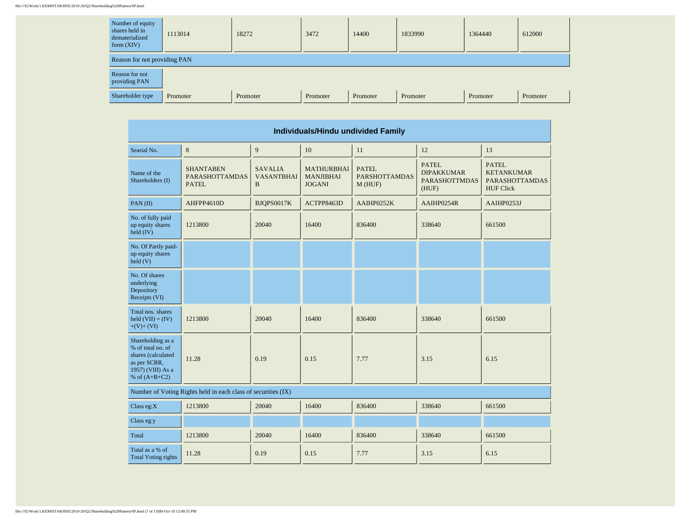## file:///E|/Work/1.KEMISTAR/BSE/2019-20/Q2/Shareholding%20Pattern/SP.html

| Number of equity<br>shares held in<br>dematerialized<br>form $(XIV)$ | 1113014  | 18272    | 3472     | 14400    | 1833990  | 1364440  | 612000   |
|----------------------------------------------------------------------|----------|----------|----------|----------|----------|----------|----------|
| Reason for not providing PAN                                         |          |          |          |          |          |          |          |
| Reason for not<br>providing PAN                                      |          |          |          |          |          |          |          |
| Shareholder type                                                     | Promoter | Promoter | Promoter | Promoter | Promoter | Promoter | Promoter |

÷.

| Individuals/Hindu undivided Family                                                                                   |                                                               |                                          |                                                        |                                                |                                                                    |                                                                                |  |  |  |  |  |
|----------------------------------------------------------------------------------------------------------------------|---------------------------------------------------------------|------------------------------------------|--------------------------------------------------------|------------------------------------------------|--------------------------------------------------------------------|--------------------------------------------------------------------------------|--|--|--|--|--|
| Searial No.                                                                                                          | 8                                                             | 9                                        | 10                                                     | 11                                             | 12                                                                 | 13                                                                             |  |  |  |  |  |
| Name of the<br>Shareholders (I)                                                                                      | <b>SHANTABEN</b><br><b>PARASHOTTAMDAS</b><br><b>PATEL</b>     | <b>SAVALIA</b><br><b>VASANTBHAI</b><br>B | <b>MATHURBHAI</b><br><b>MANJIBHAI</b><br><b>JOGANI</b> | <b>PATEL</b><br><b>PARSHOTTAMDAS</b><br>M(HUF) | <b>PATEL</b><br><b>DIPAKKUMAR</b><br><b>PARASHOTTMDAS</b><br>(HUF) | <b>PATEL</b><br><b>KETANKUMAR</b><br><b>PARASHOTTAMDAS</b><br><b>HUF Click</b> |  |  |  |  |  |
| PAN(II)                                                                                                              | AHFPP4610D                                                    | BJQPS0017K                               | ACTPP8463D                                             | AAIHP0252K                                     | AAIHP0254R                                                         | AAIHP0253J                                                                     |  |  |  |  |  |
| No. of fully paid<br>up equity shares<br>$\text{held (IV)}$                                                          | 1213800                                                       | 20040                                    | 16400<br>836400                                        |                                                | 338640                                                             | 661500                                                                         |  |  |  |  |  |
| No. Of Partly paid-<br>up equity shares<br>$\text{held}(V)$                                                          |                                                               |                                          |                                                        |                                                |                                                                    |                                                                                |  |  |  |  |  |
| No. Of shares<br>underlying<br>Depository<br>Receipts (VI)                                                           |                                                               |                                          |                                                        |                                                |                                                                    |                                                                                |  |  |  |  |  |
| Total nos, shares<br>held $(VII) = (IV)$<br>$+(V)+(VI)$                                                              | 1213800                                                       | 20040                                    | 16400                                                  | 836400                                         | 338640                                                             | 661500                                                                         |  |  |  |  |  |
| Shareholding as a<br>% of total no. of<br>shares (calculated<br>as per SCRR,<br>1957) (VIII) As a<br>% of $(A+B+C2)$ | 11.28                                                         |                                          | 0.15                                                   | 7.77                                           | 3.15                                                               | 6.15                                                                           |  |  |  |  |  |
|                                                                                                                      | Number of Voting Rights held in each class of securities (IX) |                                          |                                                        |                                                |                                                                    |                                                                                |  |  |  |  |  |
| Class eg: $X$                                                                                                        | 1213800                                                       | 20040                                    | 16400                                                  | 836400                                         | 338640                                                             | 661500                                                                         |  |  |  |  |  |
| Class eg:y                                                                                                           |                                                               |                                          |                                                        |                                                |                                                                    |                                                                                |  |  |  |  |  |
| Total                                                                                                                | 1213800                                                       | 20040                                    | 16400                                                  | 836400                                         | 338640                                                             | 661500                                                                         |  |  |  |  |  |
| Total as a % of<br><b>Total Voting rights</b>                                                                        | 11.28<br>0.19                                                 |                                          | 0.15                                                   | 7.77                                           | 3.15                                                               | 6.15                                                                           |  |  |  |  |  |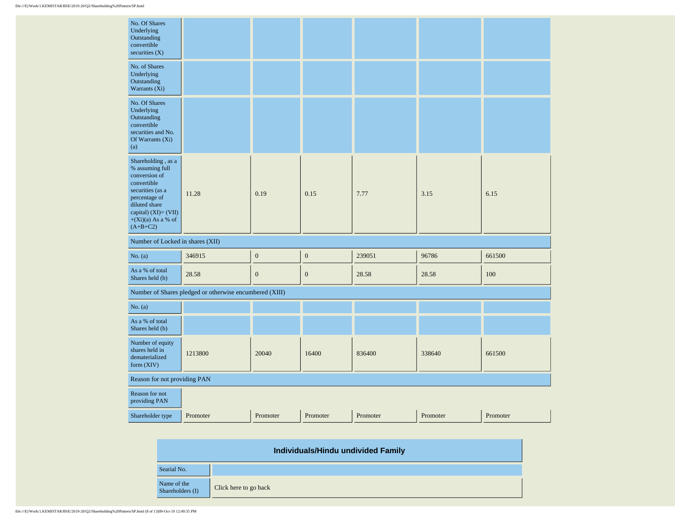| No. Of Shares<br>Underlying<br>Outstanding<br>convertible<br>securities $(X)$                                                                                                              |                                                         |                  |                  |                |                      |        |  |  |
|--------------------------------------------------------------------------------------------------------------------------------------------------------------------------------------------|---------------------------------------------------------|------------------|------------------|----------------|----------------------|--------|--|--|
| No. of Shares<br>Underlying<br>Outstanding<br>Warrants (Xi)                                                                                                                                |                                                         |                  |                  |                |                      |        |  |  |
| No. Of Shares<br>Underlying<br>Outstanding<br>convertible<br>securities and No.<br>Of Warrants (Xi)<br>(a)                                                                                 |                                                         |                  |                  |                |                      |        |  |  |
| Shareholding , as a<br>% assuming full<br>conversion of<br>convertible<br>securities (as a<br>percentage of<br>diluted share<br>capital) (XI)= (VII)<br>$+(Xi)(a)$ As a % of<br>$(A+B+C2)$ | 11.28                                                   | 0.19             | 0.15             | 7.77           | 3.15                 | 6.15   |  |  |
| Number of Locked in shares (XII)                                                                                                                                                           |                                                         |                  |                  |                |                      |        |  |  |
| No. (a)                                                                                                                                                                                    | 346915                                                  | $\mathbf{0}$     | $\boldsymbol{0}$ | 239051         | 96786                | 661500 |  |  |
| As a % of total<br>Shares held (b)                                                                                                                                                         | 28.58                                                   | $\boldsymbol{0}$ | $\boldsymbol{0}$ | 28.58<br>28.58 |                      | 100    |  |  |
|                                                                                                                                                                                            | Number of Shares pledged or otherwise encumbered (XIII) |                  |                  |                |                      |        |  |  |
| No. $(a)$                                                                                                                                                                                  |                                                         |                  |                  |                |                      |        |  |  |
| As a % of total<br>Shares held (b)                                                                                                                                                         |                                                         |                  |                  |                |                      |        |  |  |
| Number of equity<br>shares held in<br>dematerialized<br>form $(XIV)$                                                                                                                       | 1213800                                                 | 20040            | 16400            | 836400         | 338640               | 661500 |  |  |
| Reason for not providing PAN                                                                                                                                                               |                                                         |                  |                  |                |                      |        |  |  |
| Reason for not<br>providing PAN                                                                                                                                                            |                                                         |                  |                  |                |                      |        |  |  |
| Shareholder type                                                                                                                                                                           | Promoter                                                | Promoter         | Promoter         | Promoter       | Promoter<br>Promoter |        |  |  |

| Individuals/Hindu undivided Family |                       |  |  |  |  |  |  |
|------------------------------------|-----------------------|--|--|--|--|--|--|
| Searial No.                        |                       |  |  |  |  |  |  |
| Name of the<br>Shareholders (I)    | Click here to go back |  |  |  |  |  |  |

 $\overline{\phantom{a}}$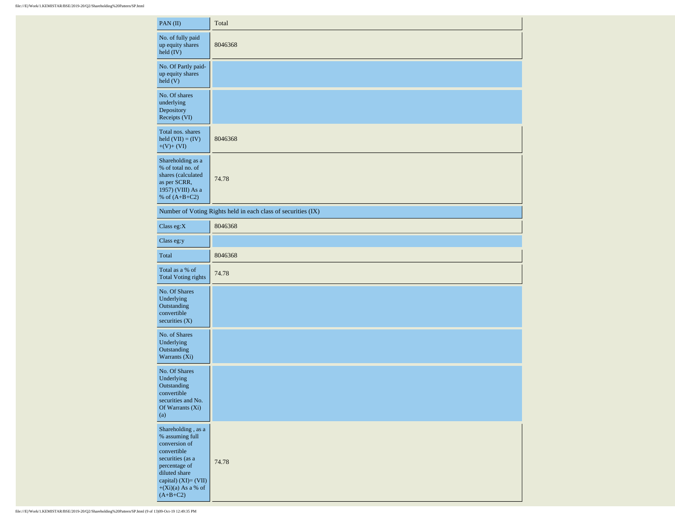| PAN(II)                                                                                                                                                                                       | Total                                                         |
|-----------------------------------------------------------------------------------------------------------------------------------------------------------------------------------------------|---------------------------------------------------------------|
| No. of fully paid<br>up equity shares<br>held (IV)                                                                                                                                            | 8046368                                                       |
| No. Of Partly paid-<br>up equity shares<br>held(V)                                                                                                                                            |                                                               |
| No. Of shares<br>underlying<br>Depository<br>Receipts (VI)                                                                                                                                    |                                                               |
| Total nos. shares<br>held $(VII) = (IV)$<br>$+(V)+(VI)$                                                                                                                                       | 8046368                                                       |
| Shareholding as a<br>% of total no. of<br>shares (calculated<br>as per SCRR,<br>1957) (VIII) As a<br>% of $(A+B+C2)$                                                                          | 74.78                                                         |
|                                                                                                                                                                                               | Number of Voting Rights held in each class of securities (IX) |
| Class eg: $X$                                                                                                                                                                                 | 8046368                                                       |
| Class eg:y                                                                                                                                                                                    |                                                               |
| Total                                                                                                                                                                                         | 8046368                                                       |
| Total as a % of<br><b>Total Voting rights</b>                                                                                                                                                 | 74.78                                                         |
| No. Of Shares<br>Underlying<br>Outstanding<br>convertible<br>securities $(X)$                                                                                                                 |                                                               |
| No. of Shares<br>Underlying<br>Outstanding<br>Warrants (Xi)                                                                                                                                   |                                                               |
| No. Of Shares<br>Underlying<br>Outstanding<br>convertible<br>securities and No.<br>Of Warrants (Xi)<br>(a)                                                                                    |                                                               |
| Shareholding , as a<br>$\%$ assuming full<br>conversion of<br>convertible<br>securities (as a<br>percentage of<br>diluted share<br>capital) (XI)= (VII)<br>$+(Xi)(a)$ As a % of<br>$(A+B+C2)$ | 74.78                                                         |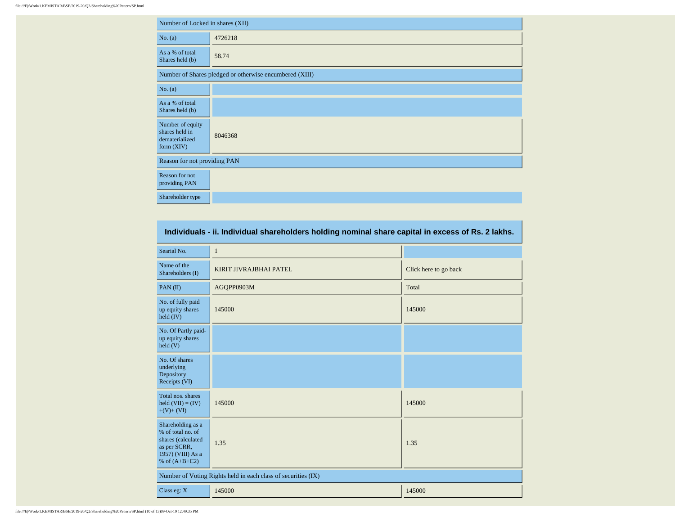|                                                                      | Number of Locked in shares (XII)                        |  |  |  |  |  |  |  |  |  |
|----------------------------------------------------------------------|---------------------------------------------------------|--|--|--|--|--|--|--|--|--|
| No. (a)                                                              | 4726218                                                 |  |  |  |  |  |  |  |  |  |
| As a % of total<br>Shares held (b)                                   | 58.74                                                   |  |  |  |  |  |  |  |  |  |
|                                                                      | Number of Shares pledged or otherwise encumbered (XIII) |  |  |  |  |  |  |  |  |  |
| No. (a)                                                              |                                                         |  |  |  |  |  |  |  |  |  |
| As a % of total<br>Shares held (b)                                   |                                                         |  |  |  |  |  |  |  |  |  |
| Number of equity<br>shares held in<br>dematerialized<br>form $(XIV)$ | 8046368                                                 |  |  |  |  |  |  |  |  |  |
| Reason for not providing PAN                                         |                                                         |  |  |  |  |  |  |  |  |  |
| Reason for not<br>providing PAN                                      |                                                         |  |  |  |  |  |  |  |  |  |
| Shareholder type                                                     |                                                         |  |  |  |  |  |  |  |  |  |

| Individuals - ii. Individual shareholders holding nominal share capital in excess of Rs. 2 lakhs.                    |                                                               |                       |  |  |  |  |  |  |  |  |
|----------------------------------------------------------------------------------------------------------------------|---------------------------------------------------------------|-----------------------|--|--|--|--|--|--|--|--|
| Searial No.                                                                                                          | 1                                                             |                       |  |  |  |  |  |  |  |  |
| Name of the<br>Shareholders (I)                                                                                      | KIRIT JIVRAJBHAI PATEL                                        | Click here to go back |  |  |  |  |  |  |  |  |
| PAN(II)                                                                                                              | AGQPP0903M                                                    | Total                 |  |  |  |  |  |  |  |  |
| No. of fully paid<br>up equity shares<br>held (IV)                                                                   | 145000                                                        | 145000                |  |  |  |  |  |  |  |  |
| No. Of Partly paid-<br>up equity shares<br>$\text{held}$ (V)                                                         |                                                               |                       |  |  |  |  |  |  |  |  |
| No. Of shares<br>underlying<br>Depository<br>Receipts (VI)                                                           |                                                               |                       |  |  |  |  |  |  |  |  |
| Total nos. shares<br>held $(VII) = (IV)$<br>$+(V)+(VI)$                                                              | 145000                                                        | 145000                |  |  |  |  |  |  |  |  |
| Shareholding as a<br>% of total no. of<br>shares (calculated<br>as per SCRR,<br>1957) (VIII) As a<br>% of $(A+B+C2)$ | 1.35                                                          | 1.35                  |  |  |  |  |  |  |  |  |
|                                                                                                                      | Number of Voting Rights held in each class of securities (IX) |                       |  |  |  |  |  |  |  |  |
| Class eg: X                                                                                                          | 145000                                                        | 145000                |  |  |  |  |  |  |  |  |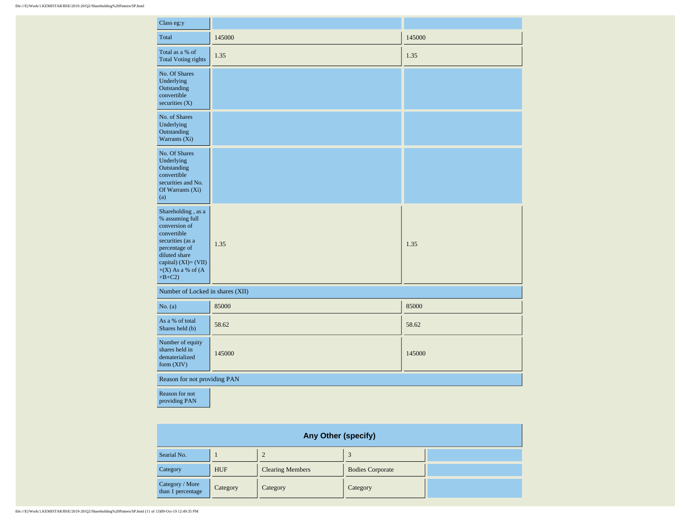## file:///E|/Work/1.KEMISTAR/BSE/2019-20/Q2/Shareholding%20Pattern/SP.html

| Class eg:y                                                                                                                                                                                  |        |        |  |  |  |  |  |  |  |
|---------------------------------------------------------------------------------------------------------------------------------------------------------------------------------------------|--------|--------|--|--|--|--|--|--|--|
| Total                                                                                                                                                                                       | 145000 | 145000 |  |  |  |  |  |  |  |
| Total as a % of<br><b>Total Voting rights</b>                                                                                                                                               | 1.35   | 1.35   |  |  |  |  |  |  |  |
| No. Of Shares<br>Underlying<br>Outstanding<br>convertible<br>securities $(X)$                                                                                                               |        |        |  |  |  |  |  |  |  |
| No. of Shares<br>Underlying<br>Outstanding<br>Warrants (Xi)                                                                                                                                 |        |        |  |  |  |  |  |  |  |
| No. Of Shares<br>Underlying<br>Outstanding<br>convertible<br>securities and No.<br>Of Warrants (Xi)<br>(a)                                                                                  |        |        |  |  |  |  |  |  |  |
| Shareholding, as a<br>% assuming full<br>conversion of<br>convertible<br>securities (as a<br>percentage of<br>diluted share<br>capital) $(XI) = (VII)$<br>$+(X)$ As a % of $(A)$<br>$+B+C2$ | 1.35   | 1.35   |  |  |  |  |  |  |  |
| Number of Locked in shares (XII)                                                                                                                                                            |        |        |  |  |  |  |  |  |  |
| No. (a)                                                                                                                                                                                     | 85000  | 85000  |  |  |  |  |  |  |  |
| As a % of total<br>Shares held (b)                                                                                                                                                          | 58.62  | 58.62  |  |  |  |  |  |  |  |
| Number of equity<br>shares held in<br>dematerialized<br>form (XIV)                                                                                                                          | 145000 | 145000 |  |  |  |  |  |  |  |
| Reason for not providing PAN                                                                                                                                                                |        |        |  |  |  |  |  |  |  |
|                                                                                                                                                                                             |        |        |  |  |  |  |  |  |  |

Reason for not providing PAN

| Any Other (specify)                  |            |                         |                         |  |  |  |  |  |  |  |
|--------------------------------------|------------|-------------------------|-------------------------|--|--|--|--|--|--|--|
| Searial No.                          |            |                         |                         |  |  |  |  |  |  |  |
| Category                             | <b>HUF</b> | <b>Clearing Members</b> | <b>Bodies Corporate</b> |  |  |  |  |  |  |  |
| Category / More<br>than 1 percentage | Category   | Category                | Category                |  |  |  |  |  |  |  |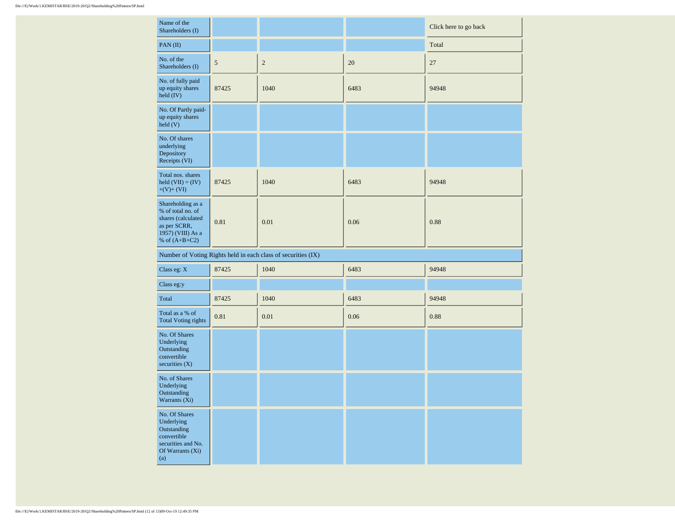| Name of the<br>Shareholders (I)                                                                                      |            |                                                               |      | Click here to go back |  |  |
|----------------------------------------------------------------------------------------------------------------------|------------|---------------------------------------------------------------|------|-----------------------|--|--|
| PAN(II)                                                                                                              |            |                                                               |      | Total                 |  |  |
| No. of the<br>Shareholders (I)                                                                                       | $\sqrt{5}$ | $\sqrt{2}$                                                    | 20   | 27                    |  |  |
| No. of fully paid<br>up equity shares<br>held (IV)                                                                   | 87425      | 1040                                                          | 6483 | 94948                 |  |  |
| No. Of Partly paid-<br>up equity shares<br>$\text{held}$ (V)                                                         |            |                                                               |      |                       |  |  |
| No. Of shares<br>underlying<br>Depository<br>Receipts (VI)                                                           |            |                                                               |      |                       |  |  |
| Total nos. shares<br>held $(VII) = (IV)$<br>$+(V)+(VI)$                                                              | 87425      | 1040                                                          | 6483 | 94948                 |  |  |
| Shareholding as a<br>% of total no. of<br>shares (calculated<br>as per SCRR,<br>1957) (VIII) As a<br>% of $(A+B+C2)$ | 0.81       | 0.01                                                          | 0.06 | 0.88                  |  |  |
|                                                                                                                      |            | Number of Voting Rights held in each class of securities (IX) |      |                       |  |  |
| Class eg: X                                                                                                          | 87425      | 1040                                                          | 6483 | 94948                 |  |  |
| Class eg:y                                                                                                           |            |                                                               |      |                       |  |  |
| Total                                                                                                                | 87425      | 1040                                                          | 6483 | 94948                 |  |  |
| Total as a % of<br><b>Total Voting rights</b>                                                                        | 0.81       | 0.01                                                          | 0.06 | 0.88                  |  |  |
| No. Of Shares<br>Underlying<br>Outstanding<br>convertible<br>securities (X)                                          |            |                                                               |      |                       |  |  |
| No. of Shares<br>Underlying<br>Outstanding<br>Warrants $(X_1)$                                                       |            |                                                               |      |                       |  |  |
| No. Of Shares<br>Underlying<br>Outstanding<br>convertible<br>securities and No.<br>Of Warrants (Xi)<br>(a)           |            |                                                               |      |                       |  |  |